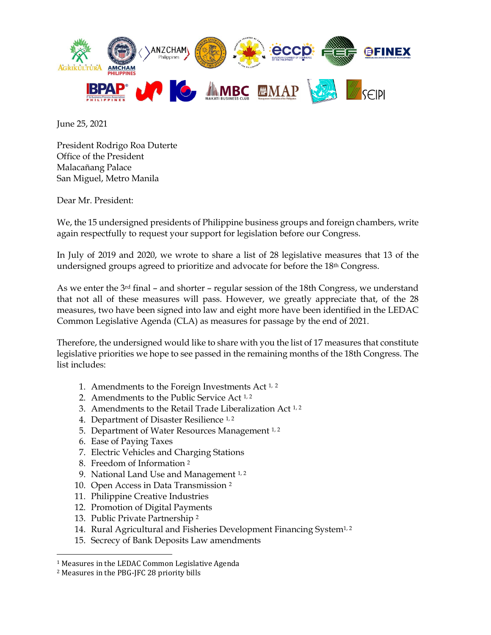

June 25, 2021

President Rodrigo Roa Duterte Office of the President Malacañang Palace San Miguel, Metro Manila

Dear Mr. President:

We, the 15 undersigned presidents of Philippine business groups and foreign chambers, write again respectfully to request your support for legislation before our Congress.

In July of 2019 and 2020, we wrote to share a list of 28 legislative measures that 13 of the undersigned groups agreed to prioritize and advocate for before the 18th Congress.

As we enter the  $3<sup>rd</sup>$  final – and shorter – regular session of the 18th Congress, we understand that not all of these measures will pass. However, we greatly appreciate that, of the 28 measures, two have been signed into law and eight more have been identified in the LEDAC Common Legislative Agenda (CLA) as measures for passage by the end of 2021.

Therefore, the undersigned would like to share with you the list of 17 measures that constitute legislative priorities we hope to see passed in the remaining months of the 18th Congress. The list includes:

- 1. Amendments to the Foreign Investments Act 1, <sup>2</sup>
- 2. Amendments to the Public Service Act 1, <sup>2</sup>
- 3. Amendments to the Retail Trade Liberalization Act 1, <sup>2</sup>
- 4. Department of Disaster Resilience 1, <sup>2</sup>
- 5. Department of Water Resources Management 1,2
- 6. Ease of Paying Taxes
- 7. Electric Vehicles and Charging Stations
- 8. Freedom of Information <sup>2</sup>
- 9. National Land Use and Management  $1, 2$
- 10. Open Access in Data Transmission <sup>2</sup>
- 11. Philippine Creative Industries
- 12. Promotion of Digital Payments
- 13. Public Private Partnership <sup>2</sup>
- 14. Rural Agricultural and Fisheries Development Financing System<sup>1,2</sup>
- 15. Secrecy of Bank Deposits Law amendments

<sup>1</sup> Measures in the LEDAC Common Legislative Agenda

<sup>2</sup> Measures in the PBG-JFC 28 priority bills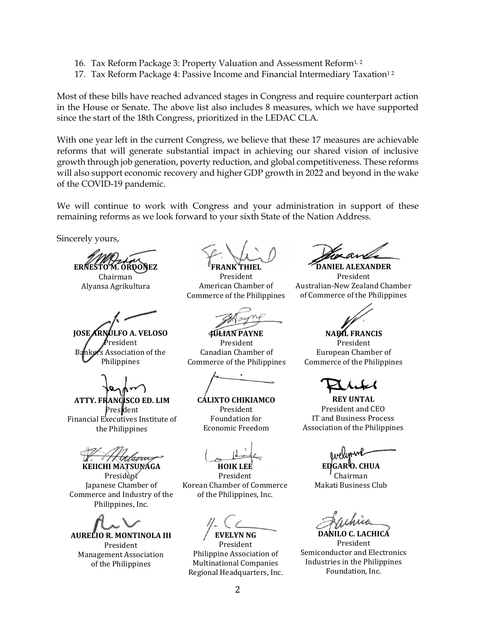- 16. Tax Reform Package 3: Property Valuation and Assessment Reform<sup>1, 2</sup>
- 17. Tax Reform Package 4: Passive Income and Financial Intermediary Taxation<sup>12</sup>

Most of these bills have reached advanced stages in Congress and require counterpart action in the House or Senate. The above list also includes 8 measures, which we have supported since the start of the 18th Congress, prioritized in the LEDAC CLA.

With one year left in the current Congress, we believe that these 17 measures are achievable reforms that will generate substantial impact in achieving our shared vision of inclusive growth through job generation, poverty reduction, and global competitiveness. These reforms will also support economic recovery and higher GDP growth in 2022 and beyond in the wake of the COVID-19 pandemic.

We will continue to work with Congress and your administration in support of these remaining reforms as we look forward to your sixth State of the Nation Address.

Sincerely yours,

**ERNESTO M. ORDOÑEZ**

Chairman Alyansa Agrikultura

**JOSE ARNULFO A. VELOSO** <sup>,</sup><br>resident Bankers Association of the Philippines

**ATTY. FRANCISCO ED. LIM** President Financial Executives Institute of the Philippines

**KEIICHI MATSUNAGA**

President Japanese Chamber of Commerce and Industry of the Philippines, Inc.



**FRANK THIEL** President American Chamber of

Commerce of the Philippines

**JULIAN PAYNE** President Canadian Chamber of Commerce of the Philippines

**CALIXTO CHIKIAMCO** President Foundation for Economic Freedom

**HOIK LEE** President Korean Chamber of Commerce of the Philippines, Inc.

**EVELYN NG**

President Philippine Association of Multinational Companies Regional Headquarters, Inc.

**DANIEL ALEXANDER** President Australian-New Zealand Chamber of Commerce of the Philippines



**NABIL FRANCIS** President European Chamber of Commerce of the Philippines

**REY UNTAL** President and CEO IT and Business Process Association of the Philippines

**EDGAR O. CHUA** Chairman Makati Business Club

**DANILO C. LACHICA** President Semiconductor and Electronics Industries in the Philippines Foundation, Inc.